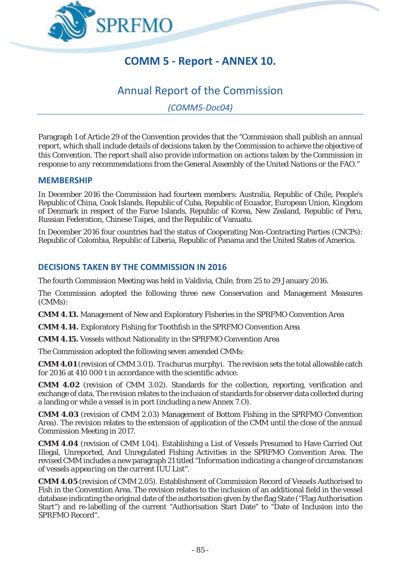

## **COMM 5 - Report - ANNEX 10.**

# Annual Report of the Commission

*(COMM5-Doc04)* 

Paragraph 1 of Article 29 of the Convention provides that the "*Commission shall publish an annual report, which shall include details of decisions taken by the Commission to achieve the objective of this Convention. The report shall also provide information on actions taken by the Commission in response to any recommendations from the General Assembly of the United Nations or the FAO*."

#### **MEMBERSHIP**

In December 2016 the Commission had fourteen members: Australia, Republic of Chile, People's Republic of China, Cook Islands, Republic of Cuba, Republic of Ecuador, European Union, Kingdom of Denmark in respect of the Faroe Islands, Republic of Korea, New Zealand, Republic of Peru, Russian Federation, Chinese Taipei, and the Republic of Vanuatu.

In December 2016 four countries had the status of Cooperating Non-Contracting Parties (CNCPs): Republic of Colombia, Republic of Liberia, Republic of Panama and the United States of America.

### **DECISIONS TAKEN BY THE COMMISSION IN 2016**

The fourth Commission Meeting was held in Valdivia, Chile, from 25 to 29 January 2016.

The Commission adopted the following three new Conservation and Management Measures (CMMs):

**CMM 4.13.** Management of New and Exploratory Fisheries in the SPRFMO Convention Area

**CMM 4.14.** Exploratory Fishing for Toothfish in the SPRFMO Convention Area

**CMM 4.15.** Vessels without Nationality in the SPRFMO Convention Area

The Commission adopted the following seven amended CMMs:

**CMM 4.01** (revision of CMM 3.01). *Trachurus murphyi*. The revision sets the total allowable catch for 2016 at 410 000 t in accordance with the scientific advice.

**CMM 4.02** (revision of CMM 3.02). Standards for the collection, reporting, verification and exchange of data. The revision relates to the inclusion of standards for observer data collected during a landing or while a vessel is in port (including a new Annex 7.O).

**CMM 4.03** (revision of CMM 2.03) Management of Bottom Fishing in the SPRFMO Convention Area). The revision relates to the extension of application of the CMM until the close of the annual Commission Meeting in 2017.

**CMM 4.04** (revision of CMM 1.04). Establishing a List of Vessels Presumed to Have Carried Out Illegal, Unreported, And Unregulated Fishing Activities in the SPRFMO Convention Area. The revised CMM includes a new paragraph 21 titled "*Information indicating a change of circumstances of vessels appearing on the current IUU List*".

**CMM 4.05** (revision of CMM 2.05). Establishment of Commission Record of Vessels Authorised to Fish in the Convention Area. The revision relates to the inclusion of an additional field in the vessel database indicating the original date of the authorisation given by the flag State ("Flag Authorisation Start") and re-labelling of the current "Authorisation Start Date" to "Date of Inclusion into the SPRFMO Record".